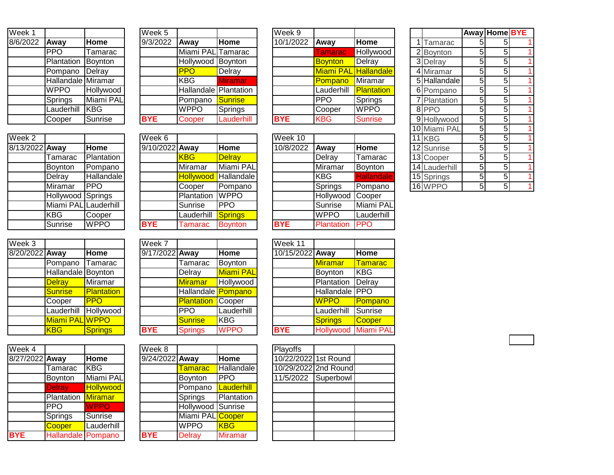| $\overline{\mathsf{W}}$ eek 1 |                           |                  |
|-------------------------------|---------------------------|------------------|
| 8/6/2022                      | Away                      | Home             |
|                               | <b>PPO</b>                | Tamarac          |
|                               | Plantation                | Boynton          |
|                               | Pompano                   | Delray           |
|                               | <b>Hallandale</b> Miramar |                  |
|                               | <b>WPPO</b>               | <b>Hollywood</b> |
|                               | Springs                   | Miami PAL        |
|                               | Lauderhill                | <b>I</b> KBG     |
|                               | Cooper                    | <b>Sunrise</b>   |

| Week 2         |                      |             |
|----------------|----------------------|-------------|
| 8/13/2022 Away |                      | Home        |
|                | Tamarac              | Plantation  |
|                | Boynton              | Pompano     |
|                | Delray               | Hallandale  |
|                | Miramar              | <b>PPO</b>  |
|                | Hollywood Springs    |             |
|                | Miami PAL Lauderhill |             |
|                | <b>KBG</b>           | Cooper      |
|                | Sunrise              | <b>WPPO</b> |

| $\overline{\text{Week}}$ 3 |                    |                   |
|----------------------------|--------------------|-------------------|
| 8/20/2022 Away             |                    | Home              |
|                            | Pompano            | Tamarac           |
|                            | Hallandale Boynton |                   |
|                            | <b>Delray</b>      | Miramar           |
|                            | <b>Sunrise</b>     | <b>Plantation</b> |
|                            | Cooper             |                   |
|                            | Lauderhill         | Hollywood         |
|                            | Miami PAL WPPO     |                   |
|                            | KBG                | <b>Springs</b>    |

| Week 4         |                           |                  | Week 8         |                   |                |
|----------------|---------------------------|------------------|----------------|-------------------|----------------|
| 8/27/2022 Away |                           | Home             | 9/24/2022 Away |                   | Home           |
|                | Tamarac                   | <b>KBG</b>       |                | <b>Tamarac</b>    | Hallanda       |
|                | Boynton                   | Miami PAL        |                | Boynton           | <b>PPO</b>     |
|                | <b>Delray</b>             | <b>Hollywood</b> |                | Pompano           | Lauderh        |
|                | <b>Plantation Miramar</b> |                  |                | Springs           | Plantatio      |
|                | <b>PPO</b>                | <b>WPPO</b>      |                | Hollywood Sunrise |                |
|                | Springs                   | Sunrise          |                | Miami PAL Cooper  |                |
|                | Cooper                    | Lauderhill       |                | <b>WPPO</b>       | <b>KBG</b>     |
| <b>BYE</b>     | <b>Hallandale Pompano</b> |                  | <b>BYE</b>     | <b>Delray</b>     | <b>Miramar</b> |
|                |                           |                  |                |                   |                |

| Week 5     |                              |                |
|------------|------------------------------|----------------|
| 9/3/2022   | Away                         | Home           |
|            | Miami PAL Tamarac            |                |
|            | Hollywood Boynton            |                |
|            | PP(                          | Delray         |
|            | <b>KBG</b>                   | <b>Miramar</b> |
|            | <b>Hallandale</b> Plantation |                |
|            | Pompano                      | <b>Sunrise</b> |
|            | <b>WPPO</b>                  | Springs        |
| <b>BYE</b> | Cooper                       | Lauderhill     |

|                |             | $\overline{\text{Week}}$ 6 |            |                             | Week 10    |                  |             |
|----------------|-------------|----------------------------|------------|-----------------------------|------------|------------------|-------------|
| Away           | Home        | 9/10/2022 Away             |            | Home                        | 10/8/2022  | Away             | <b>Home</b> |
| Tamarac        | Plantation  |                            | <b>KBG</b> | <b>Delray</b>               |            | Delray           | Tamarac     |
| Boynton        | Pompano     |                            | Miramar    | Miami PAL                   |            | Miramar          | Boynton     |
| Delray         | Hallandale  |                            |            | <b>Hollywood Hallandale</b> |            | <b>KBG</b>       | Hallandak   |
| Miramar        | <b>PPO</b>  |                            | Cooper     | Pompano                     |            | Springs          | Pompano     |
| Hollywood      | Springs     |                            | Plantation | <b>WPPO</b>                 |            | Hollywood Cooper |             |
| Miami PAL      | Lauderhill  |                            | Sunrise    | <b>PPO</b>                  |            | Sunrise          | Miami PA    |
| KBG            | Cooper      |                            | Lauderhill | Springs                     |            | <b>WPPO</b>      | Lauderhill  |
| <b>Sunrise</b> | <b>WPPO</b> | <b>BYE</b>                 | Tamarac    | <b>Boynton</b>              | <b>BYE</b> | Plantation       | <b>PPO</b>  |
|                |             |                            |            |                             |            |                  |             |

| Week 3         |                    |            | Week 7         |                          |                  | Week 11         |                   |               |
|----------------|--------------------|------------|----------------|--------------------------|------------------|-----------------|-------------------|---------------|
| 8/20/2022 Away |                    | Home       | 9/17/2022 Away |                          | Home             | 10/15/2022 Away |                   | Home          |
|                | Pompano            | Tamarac    |                | Tamarac                  | Boynton          |                 | <b>Miramar</b>    | <b>Tamara</b> |
|                | Hallandale Boynton |            |                | Delray                   | <b>Miami PAL</b> |                 | Boynton           | <b>KBG</b>    |
|                | <b>Delray</b>      | Miramar    |                | <b>Miramar</b>           | Hollywood        |                 | Plantation        | Delray        |
|                | Sunrise            | Plantation |                | Hallandale Pompano       |                  |                 | Hallandale PPO    |               |
|                | Cooper             | <b>PPO</b> |                | <b>Plantation</b> Cooper |                  |                 | <b>WPPO</b>       | Pompar        |
|                | Lauderhill         | Hollywood  |                | <b>PPO</b>               | Lauderhill       |                 | Lauderhill        | Sunrise       |
|                | Miami PAL WPPO     |            |                | Sunrise                  | <b>KBG</b>       |                 | <b>Springs</b>    | Cooper        |
|                | <b>KBG</b>         | Springs    | <b>BYE</b>     | <b>Springs</b>           | <b>WPPO</b>      | <b>BYE</b>      | Hollywood Miami F |               |
|                |                    |            |                |                          |                  |                 |                   |               |

| Week 4         |                           |                  | Week 8         |                   |                | Playoffs             |           |
|----------------|---------------------------|------------------|----------------|-------------------|----------------|----------------------|-----------|
| 8/27/2022 Away |                           | Home             | 9/24/2022 Away |                   | <b>Home</b>    | 10/22/2022 1st Round |           |
|                | Tamarac                   | <b>KBG</b>       |                | Tamarac           | Hallandale     | 10/29/2022 2nd Round |           |
|                | Boynton                   | Miami PAL        |                | <b>Boynton</b>    | <b>PPO</b>     | 11/5/2022            | Superbowl |
|                | <b>Delray</b>             | <b>Hollywood</b> |                | Pompano           | Lauderhill     |                      |           |
|                | Plantation                | <b>Miramar</b>   |                | Springs           | Plantation     |                      |           |
|                | <b>PPO</b>                | <b>WPPO</b>      |                | Hollywood Sunrise |                |                      |           |
|                | Springs                   | Sunrise          |                | Miami PAL Cooper  |                |                      |           |
|                | Cooper                    | Lauderhill       |                | <b>WPPO</b>       | <b>KBG</b>     |                      |           |
| <b>BYE</b>     | <b>Hallandale</b> Pompano |                  | <b>BYE</b>     | <b>Delray</b>     | <b>Miramar</b> |                      |           |
|                |                           |                  |                |                   |                |                      |           |

| Week 1   |                    |                | Week 5     |                              |                | Week 9     |                      |                |              |    | <b>Away Home BYE</b> |  |
|----------|--------------------|----------------|------------|------------------------------|----------------|------------|----------------------|----------------|--------------|----|----------------------|--|
| 8/6/2022 | <b>IAwav</b>       | <b>Home</b>    | 9/3/2022   | <b>IAwav</b>                 | Home           | 10/1/2022  | Away                 | <b>Home</b>    | I Tamarac    |    |                      |  |
|          | <b>PPO</b>         | <b>Tamarac</b> |            | Miami PAL Tamarac            |                |            | <b>Tamarac</b>       | Hollywood      | 2 Boynton    | 51 |                      |  |
|          | Plantation         | Boynton        |            | Hollywood Boynton            |                |            | Boynton              | Delray         | 3 Delray     | 51 |                      |  |
|          | Pompano            | Delray         |            | <b>PPO</b>                   | Delray         |            | Miami PAL Hallandale |                | 4 Miramar    | 51 |                      |  |
|          | Hallandale Miramar |                |            | KBG                          | <b>Miramar</b> |            | Pompano              | Miramar        | 5 Hallandale | 51 |                      |  |
|          | <b>WPPO</b>        | Hollywood      |            | <b>Hallandale Plantation</b> |                |            | Lauderhill           | Plantation     | 6 Pompano    | 51 |                      |  |
|          | Springs            | Miami PAL      |            | <b>Pompano</b>               | <b>Sunrise</b> |            | <b>PPO</b>           | Springs        | 7 Plantation | 51 |                      |  |
|          | Lauderhill         | <b>IKBG</b>    |            | <b>WPPO</b>                  | Springs        |            | Cooper               | <b>WPPO</b>    | 8PPO         | 51 |                      |  |
|          | Cooper             | Sunrise        | <b>BYE</b> | Cooper                       | Lauderhill     | <b>BYE</b> | <b>KBG</b>           | <b>Sunrise</b> | 9 Hollywood  | 51 |                      |  |
|          |                    |                |            |                              |                |            |                      |                |              |    |                      |  |

| Week 2         |                      |             | Week 6         |                  |                | Week 10    |             |                   |  | $11$ KBG      | 51 |  |
|----------------|----------------------|-------------|----------------|------------------|----------------|------------|-------------|-------------------|--|---------------|----|--|
| 8/13/2022 Away |                      | Home        | 9/10/2022 Away |                  | Home           | 10/8/2022  | Away        | Home              |  | 12 Sunrise    | 51 |  |
|                | Tamarac              | Plantation  |                | <b>KBG</b>       | <b>Delray</b>  |            | Delray      | Tamarac           |  | 13 Cooper     |    |  |
|                | <b>Bovnton</b>       | Pompano     |                | Miramar          | Miami PAL      |            | Miramar     | Boynton           |  | 14 Lauderhill | 51 |  |
|                | Delray               | Hallandale  |                | <b>Hollywood</b> | Hallandale     |            | <b>KBG</b>  | <b>Hallandale</b> |  | 15 Springs    | 51 |  |
|                | Miramar              | <b>IPPO</b> |                | Cooper           | Pompano        |            | Springs     | <b>Pompano</b>    |  | 16 WPPO       |    |  |
|                | Hollywood Springs    |             |                | Plantation       | <b>WPPO</b>    |            | Hollywood   | Cooper            |  |               |    |  |
|                | Miami PAL Lauderhill |             |                | Sunrise          | IPPO           |            | Sunrise     | Miami PAL         |  |               |    |  |
|                | <b>KBG</b>           | Cooper      |                | Lauderhill       | Springs        |            | <b>WPPO</b> | Lauderhill        |  |               |    |  |
|                | Sunrise              | <b>WPPO</b> | <b>BYE</b>     | Tamarac          | <b>Boynton</b> | <b>BYE</b> | Plantation  | <b>IPPO</b>       |  |               |    |  |
|                |                      |             |                |                  |                |            |             |                   |  |               |    |  |

|                |               |                | Away Home BYE |   |
|----------------|---------------|----------------|---------------|---|
| 1              | Tamarac       | 5              | 5             |   |
|                | 2 Boynton     | 5              | 5             | 1 |
|                | $3$ Delray    | $\overline{5}$ | 5             |   |
| $\overline{4}$ | Miramar       | 5              | 5             | 1 |
| 51             | Hallandale    | 5              | 5             | 1 |
| 6              | Pompano       | 5              | 5             | 1 |
| 7              | Plantation    | 5              | 5             | 1 |
| 8              | PPC           | $\overline{5}$ | 5             | 1 |
| 9              | Hollywood     | 5              | 5             | 1 |
|                | 10 Miami PAL  | 5              | 5             | 1 |
| 11             | <b>KBG</b>    | 5              | 5             | 1 |
|                | 12 Sunrise    | 5              | 5             | 1 |
|                | 13 Cooper     | 5              | 5             |   |
|                | 14 Lauderhill | 5              | 5             |   |
|                | 15 Springs    | 5              | 5             | 1 |
|                | $16$ WP       | 5              | 5             |   |

|                    |                      | Week 7         |                    |                  | Week 11         |                |                      |
|--------------------|----------------------|----------------|--------------------|------------------|-----------------|----------------|----------------------|
| Away               | Home                 | 9/17/2022 Away |                    | Home             | 10/15/2022 Away |                | Home                 |
| Pompano            | Tamarac              |                | Tamarac            | Boynton          |                 | <b>Miramar</b> | <mark>Tamarac</mark> |
| Hallandale Boynton |                      |                | Delray             | <b>Miami PAL</b> |                 | Boynton        | KBG                  |
| <b>Delray</b>      | Miramar              |                | <b>Miramar</b>     | Hollywood        |                 | Plantation     | Delray               |
| <b>Sunrise</b>     | Plantation           |                | Hallandale Pompano |                  |                 | Hallandale PPO |                      |
| Cooper             | <b>PPO</b>           |                | Plantation         | Cooper           |                 | <b>WPPO</b>    | Pompano              |
|                    | Lauderhill Hollywood |                | PPO                | Lauderhill       |                 | Lauderhill     | Sunrise              |
| Miami PAL WPPO     |                      |                | <b>Sunrise</b>     | <b>KBG</b>       |                 | Springs        | Cooper               |
| <b>KBG</b>         | <b>Springs</b>       | <b>BYE</b>     | <b>Springs</b>     | <b>WPPO</b>      | <b>BYE</b>      | Hollywood      | <b>Miami PAL</b>     |

| Playoffs             |                      |  |
|----------------------|----------------------|--|
| 10/22/2022 1st Round |                      |  |
|                      | 10/29/2022 2nd Round |  |
| 11/5/2022 Superbowl  |                      |  |
|                      |                      |  |
|                      |                      |  |
|                      |                      |  |
|                      |                      |  |
|                      |                      |  |
|                      |                      |  |